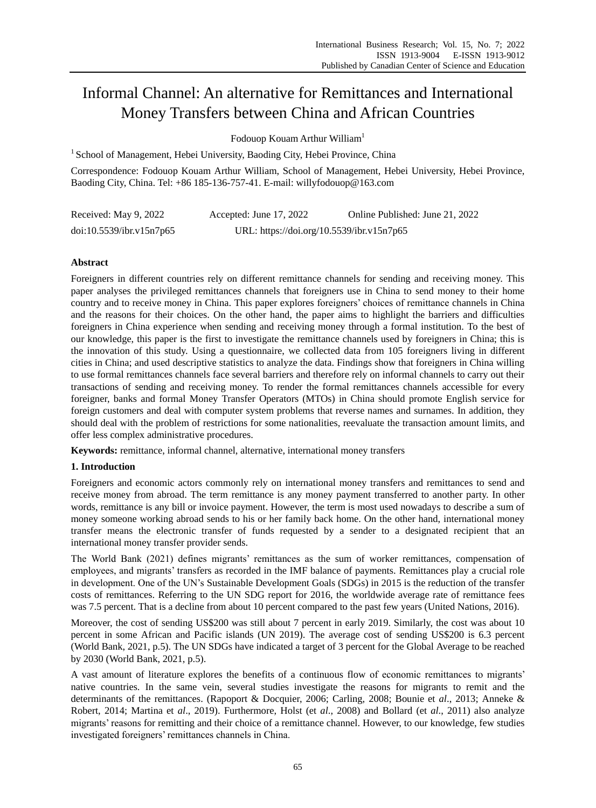# Informal Channel: An alternative for Remittances and International Money Transfers between China and African Countries

Fodouop Kouam Arthur William<sup>1</sup>

<sup>1</sup> School of Management, Hebei University, Baoding City, Hebei Province, China

Correspondence: Fodouop Kouam Arthur William, School of Management, Hebei University, Hebei Province, Baoding City, China. Tel: +86 185-136-757-41. E-mail: willyfodouop@163.com

| Received: May 9, 2022    | Accepted: June 17, 2022                   | Online Published: June 21, 2022 |
|--------------------------|-------------------------------------------|---------------------------------|
| doi:10.5539/ibr.v15n7p65 | URL: https://doi.org/10.5539/ibr.v15n7p65 |                                 |

# **Abstract**

Foreigners in different countries rely on different remittance channels for sending and receiving money. This paper analyses the privileged remittances channels that foreigners use in China to send money to their home country and to receive money in China. This paper explores foreigners' choices of remittance channels in China and the reasons for their choices. On the other hand, the paper aims to highlight the barriers and difficulties foreigners in China experience when sending and receiving money through a formal institution. To the best of our knowledge, this paper is the first to investigate the remittance channels used by foreigners in China; this is the innovation of this study. Using a questionnaire, we collected data from 105 foreigners living in different cities in China; and used descriptive statistics to analyze the data. Findings show that foreigners in China willing to use formal remittances channels face several barriers and therefore rely on informal channels to carry out their transactions of sending and receiving money. To render the formal remittances channels accessible for every foreigner, banks and formal Money Transfer Operators (MTOs) in China should promote English service for foreign customers and deal with computer system problems that reverse names and surnames. In addition, they should deal with the problem of restrictions for some nationalities, reevaluate the transaction amount limits, and offer less complex administrative procedures.

**Keywords:** remittance, informal channel, alternative, international money transfers

# **1. Introduction**

Foreigners and economic actors commonly rely on international money transfers and remittances to send and receive money from abroad. The term remittance is any money payment transferred to another party. In other words, remittance is any bill or invoice payment. However, the term is most used nowadays to describe a sum of money someone working abroad sends to his or her family back home. On the other hand, international money transfer means the electronic transfer of funds requested by a sender to a designated recipient that an international money transfer provider sends.

The World Bank (2021) defines migrants' remittances as the sum of worker remittances, compensation of employees, and migrants' transfers as recorded in the IMF balance of payments. Remittances play a crucial role in development. One of the UN's Sustainable Development Goals (SDGs) in 2015 is the reduction of the transfer costs of remittances. Referring to the UN SDG report for 2016, the worldwide average rate of remittance fees was 7.5 percent. That is a decline from about 10 percent compared to the past few years (United Nations, 2016).

Moreover, the cost of sending US\$200 was still about 7 percent in early 2019. Similarly, the cost was about 10 percent in some African and Pacific islands (UN 2019). The average cost of sending US\$200 is 6.3 percent (World Bank, 2021, p.5). The UN SDGs have indicated a target of 3 percent for the Global Average to be reached by 2030 (World Bank, 2021, p.5).

A vast amount of literature explores the benefits of a continuous flow of economic remittances to migrants' native countries. In the same vein, several studies investigate the reasons for migrants to remit and the determinants of the remittances. (Rapoport & Docquier, 2006; Carling, 2008; Bounie et *al*., 2013; Anneke & Robert, 2014; Martina et *al*., 2019). Furthermore, Holst (et *al*., 2008) and Bollard (et *al*., 2011) also analyze migrants' reasons for remitting and their choice of a remittance channel. However, to our knowledge, few studies investigated foreigners' remittances channels in China.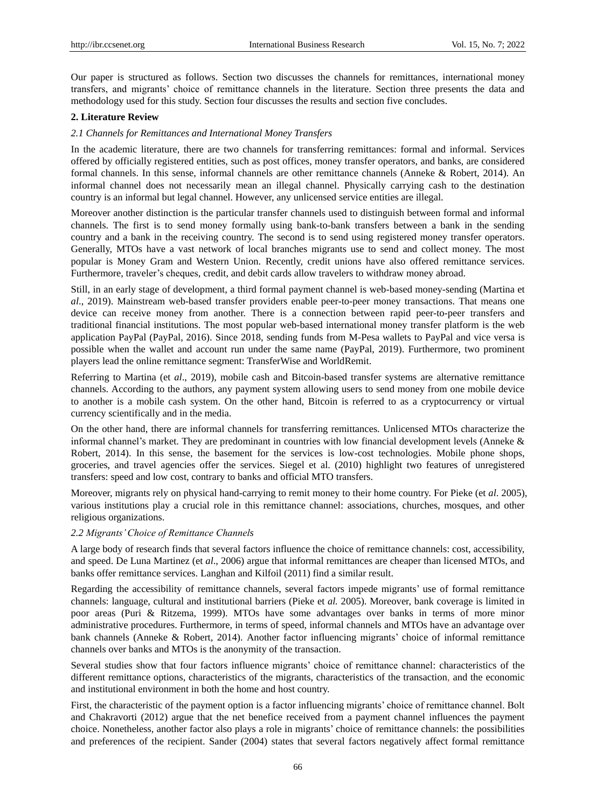Our paper is structured as follows. Section two discusses the channels for remittances, international money transfers, and migrants' choice of remittance channels in the literature. Section three presents the data and methodology used for this study. Section four discusses the results and section five concludes.

# **2. Literature Review**

## *2.1 Channels for Remittances and International Money Transfers*

In the academic literature, there are two channels for transferring remittances: formal and informal. Services offered by officially registered entities, such as post offices, money transfer operators, and banks, are considered formal channels. In this sense, informal channels are other remittance channels (Anneke & Robert, 2014). An informal channel does not necessarily mean an illegal channel. Physically carrying cash to the destination country is an informal but legal channel. However, any unlicensed service entities are illegal.

Moreover another distinction is the particular transfer channels used to distinguish between formal and informal channels. The first is to send money formally using bank-to-bank transfers between a bank in the sending country and a bank in the receiving country. The second is to send using registered money transfer operators. Generally, MTOs have a vast network of local branches migrants use to send and collect money. The most popular is Money Gram and Western Union. Recently, credit unions have also offered remittance services. Furthermore, traveler's cheques, credit, and debit cards allow travelers to withdraw money abroad.

Still, in an early stage of development, a third formal payment channel is web-based money-sending (Martina et *al*., 2019). Mainstream web-based transfer providers enable peer-to-peer money transactions. That means one device can receive money from another. There is a connection between rapid peer-to-peer transfers and traditional financial institutions. The most popular web-based international money transfer platform is the web application PayPal (PayPal, 2016). Since 2018, sending funds from M-Pesa wallets to PayPal and vice versa is possible when the wallet and account run under the same name (PayPal, 2019). Furthermore, two prominent players lead the online remittance segment: TransferWise and WorldRemit.

Referring to Martina (et *al*., 2019), mobile cash and Bitcoin-based transfer systems are alternative remittance channels. According to the authors, any payment system allowing users to send money from one mobile device to another is a mobile cash system. On the other hand, Bitcoin is referred to as a cryptocurrency or virtual currency scientifically and in the media.

On the other hand, there are informal channels for transferring remittances. Unlicensed MTOs characterize the informal channel's market. They are predominant in countries with low financial development levels (Anneke & Robert, 2014). In this sense, the basement for the services is low-cost technologies. Mobile phone shops, groceries, and travel agencies offer the services. Siegel et al. (2010) highlight two features of unregistered transfers: speed and low cost, contrary to banks and official MTO transfers.

Moreover, migrants rely on physical hand-carrying to remit money to their home country. For Pieke (et *al*. 2005), various institutions play a crucial role in this remittance channel: associations, churches, mosques, and other religious organizations.

### *2.2 Migrants' Choice of Remittance Channels*

A large body of research finds that several factors influence the choice of remittance channels: cost, accessibility, and speed. De Luna Martinez (et *al*., 2006) argue that informal remittances are cheaper than licensed MTOs, and banks offer remittance services. Langhan and Kilfoil (2011) find a similar result.

Regarding the accessibility of remittance channels, several factors impede migrants' use of formal remittance channels: language, cultural and institutional barriers (Pieke et *al.* 2005). Moreover, bank coverage is limited in poor areas (Puri & Ritzema, 1999). MTOs have some advantages over banks in terms of more minor administrative procedures. Furthermore, in terms of speed, informal channels and MTOs have an advantage over bank channels (Anneke & Robert, 2014). Another factor influencing migrants' choice of informal remittance channels over banks and MTOs is the anonymity of the transaction.

Several studies show that four factors influence migrants' choice of remittance channel: characteristics of the different remittance options, characteristics of the migrants, characteristics of the transaction, and the economic and institutional environment in both the home and host country.

First, the characteristic of the payment option is a factor influencing migrants' choice of remittance channel. Bolt and Chakravorti (2012) argue that the net benefice received from a payment channel influences the payment choice. Nonetheless, another factor also plays a role in migrants' choice of remittance channels: the possibilities and preferences of the recipient. Sander (2004) states that several factors negatively affect formal remittance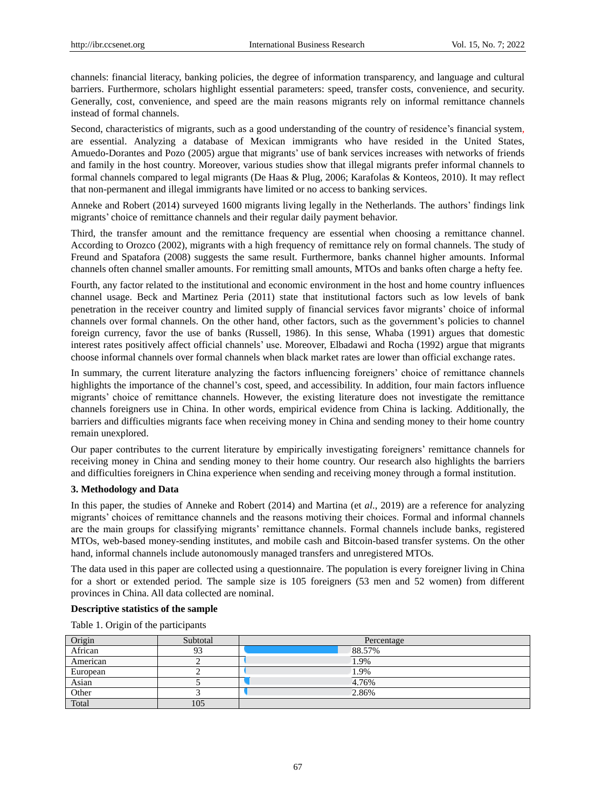channels: financial literacy, banking policies, the degree of information transparency, and language and cultural barriers. Furthermore, scholars highlight essential parameters: speed, transfer costs, convenience, and security. Generally, cost, convenience, and speed are the main reasons migrants rely on informal remittance channels instead of formal channels.

Second, characteristics of migrants, such as a good understanding of the country of residence's financial system, are essential. Analyzing a database of Mexican immigrants who have resided in the United States, Amuedo-Dorantes and Pozo (2005) argue that migrants' use of bank services increases with networks of friends and family in the host country. Moreover, various studies show that illegal migrants prefer informal channels to formal channels compared to legal migrants (De Haas & Plug, 2006; Karafolas & Konteos, 2010). It may reflect that non-permanent and illegal immigrants have limited or no access to banking services.

Anneke and Robert (2014) surveyed 1600 migrants living legally in the Netherlands. The authors' findings link migrants' choice of remittance channels and their regular daily payment behavior.

Third, the transfer amount and the remittance frequency are essential when choosing a remittance channel. According to Orozco (2002), migrants with a high frequency of remittance rely on formal channels. The study of Freund and Spatafora (2008) suggests the same result. Furthermore, banks channel higher amounts. Informal channels often channel smaller amounts. For remitting small amounts, MTOs and banks often charge a hefty fee.

Fourth, any factor related to the institutional and economic environment in the host and home country influences channel usage. Beck and Martinez Peria (2011) state that institutional factors such as low levels of bank penetration in the receiver country and limited supply of financial services favor migrants' choice of informal channels over formal channels. On the other hand, other factors, such as the government's policies to channel foreign currency, favor the use of banks (Russell, 1986). In this sense, Whaba (1991) argues that domestic interest rates positively affect official channels' use. Moreover, Elbadawi and Rocha (1992) argue that migrants choose informal channels over formal channels when black market rates are lower than official exchange rates.

In summary, the current literature analyzing the factors influencing foreigners' choice of remittance channels highlights the importance of the channel's cost, speed, and accessibility. In addition, four main factors influence migrants' choice of remittance channels. However, the existing literature does not investigate the remittance channels foreigners use in China. In other words, empirical evidence from China is lacking. Additionally, the barriers and difficulties migrants face when receiving money in China and sending money to their home country remain unexplored.

Our paper contributes to the current literature by empirically investigating foreigners' remittance channels for receiving money in China and sending money to their home country. Our research also highlights the barriers and difficulties foreigners in China experience when sending and receiving money through a formal institution.

### **3. Methodology and Data**

In this paper, the studies of Anneke and Robert (2014) and Martina (et *al*., 2019) are a reference for analyzing migrants' choices of remittance channels and the reasons motiving their choices. Formal and informal channels are the main groups for classifying migrants' remittance channels. Formal channels include banks, registered MTOs, web-based money-sending institutes, and mobile cash and Bitcoin-based transfer systems. On the other hand, informal channels include autonomously managed transfers and unregistered MTOs.

The data used in this paper are collected using a questionnaire. The population is every foreigner living in China for a short or extended period. The sample size is 105 foreigners (53 men and 52 women) from different provinces in China. All data collected are nominal.

# **Descriptive statistics of the sample**

Table 1. Origin of the participants

| Origin   | Subtotal | Percentage |
|----------|----------|------------|
| African  |          | 88.57%     |
| American |          | 1.9%       |
| European |          | 1.9%       |
| Asian    |          | 4.76%      |
| Other    |          | 2.86%      |
| Total    | 105      |            |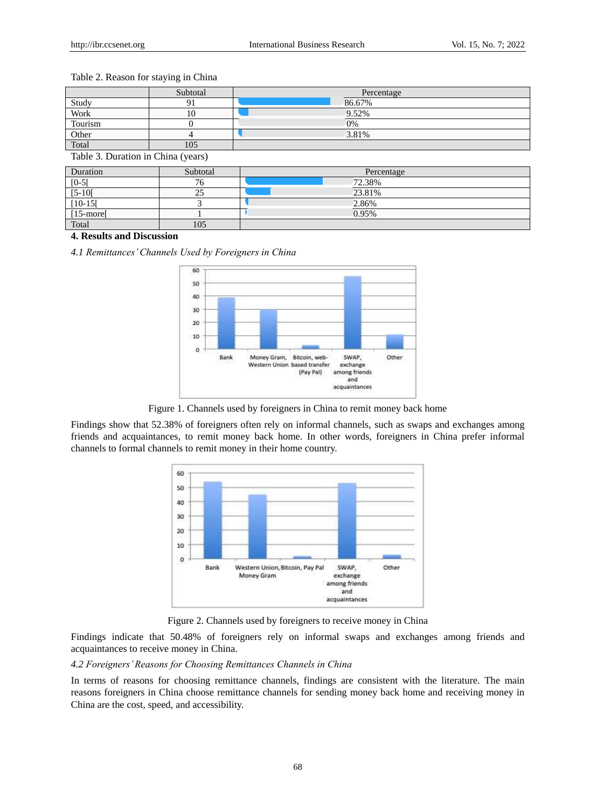# Table 2. Reason for staying in China

| Subtotal | Percentage |
|----------|------------|
|          | 86.67%     |
| 10       | 9.52%      |
|          | 0%         |
|          | 3.81%      |
| 105      |            |
|          |            |

Table 3. Duration in China (years)

| Duration           | Subtotal | Percentage |
|--------------------|----------|------------|
| $[0-5]$            | 76       | 72.38%     |
| $[5-10]$           | 25       | 23.81%     |
| $[10-15]$          |          | 2.86%      |
| [15-more]<br>Total |          | 0.95%      |
|                    | 105      |            |

## **4. Results and Discussion**

*4.1 Remittances' Channels Used by Foreigners in China* 



Figure 1. Channels used by foreigners in China to remit money back home

Findings show that 52.38% of foreigners often rely on informal channels, such as swaps and exchanges among friends and acquaintances, to remit money back home. In other words, foreigners in China prefer informal channels to formal channels to remit money in their home country.



Figure 2. Channels used by foreigners to receive money in China

Findings indicate that 50.48% of foreigners rely on informal swaps and exchanges among friends and acquaintances to receive money in China.

*4.2 Foreigners' Reasons for Choosing Remittances Channels in China*

In terms of reasons for choosing remittance channels, findings are consistent with the literature. The main reasons foreigners in China choose remittance channels for sending money back home and receiving money in China are the cost, speed, and accessibility.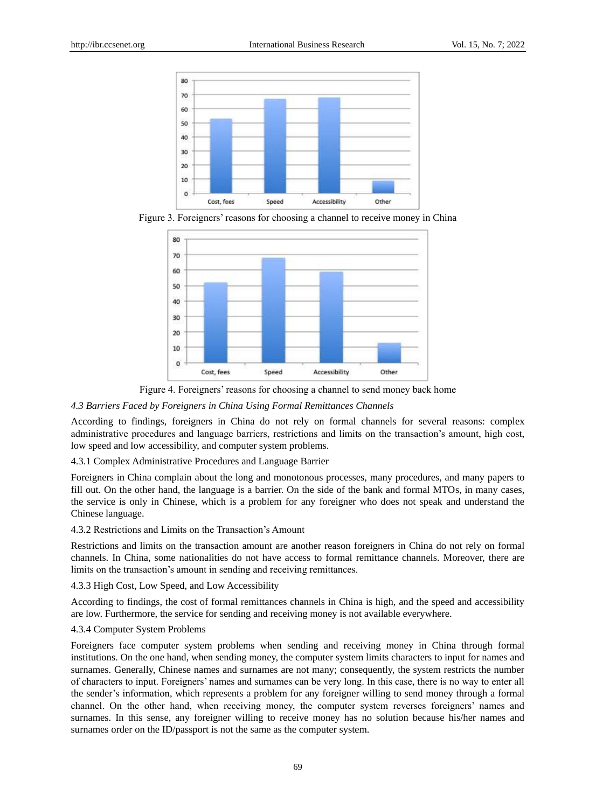

Figure 3. Foreigners' reasons for choosing a channel to receive money in China



Figure 4. Foreigners' reasons for choosing a channel to send money back home

#### *4.3 Barriers Faced by Foreigners in China Using Formal Remittances Channels*

According to findings, foreigners in China do not rely on formal channels for several reasons: complex administrative procedures and language barriers, restrictions and limits on the transaction's amount, high cost, low speed and low accessibility, and computer system problems.

# 4.3.1 Complex Administrative Procedures and Language Barrier

Foreigners in China complain about the long and monotonous processes, many procedures, and many papers to fill out. On the other hand, the language is a barrier. On the side of the bank and formal MTOs, in many cases, the service is only in Chinese, which is a problem for any foreigner who does not speak and understand the Chinese language.

### 4.3.2 Restrictions and Limits on the Transaction's Amount

Restrictions and limits on the transaction amount are another reason foreigners in China do not rely on formal channels. In China, some nationalities do not have access to formal remittance channels. Moreover, there are limits on the transaction's amount in sending and receiving remittances.

#### 4.3.3 High Cost, Low Speed, and Low Accessibility

According to findings, the cost of formal remittances channels in China is high, and the speed and accessibility are low. Furthermore, the service for sending and receiving money is not available everywhere.

## 4.3.4 Computer System Problems

Foreigners face computer system problems when sending and receiving money in China through formal institutions. On the one hand, when sending money, the computer system limits characters to input for names and surnames. Generally, Chinese names and surnames are not many; consequently, the system restricts the number of characters to input. Foreigners' names and surnames can be very long. In this case, there is no way to enter all the sender's information, which represents a problem for any foreigner willing to send money through a formal channel. On the other hand, when receiving money, the computer system reverses foreigners' names and surnames. In this sense, any foreigner willing to receive money has no solution because his/her names and surnames order on the ID/passport is not the same as the computer system.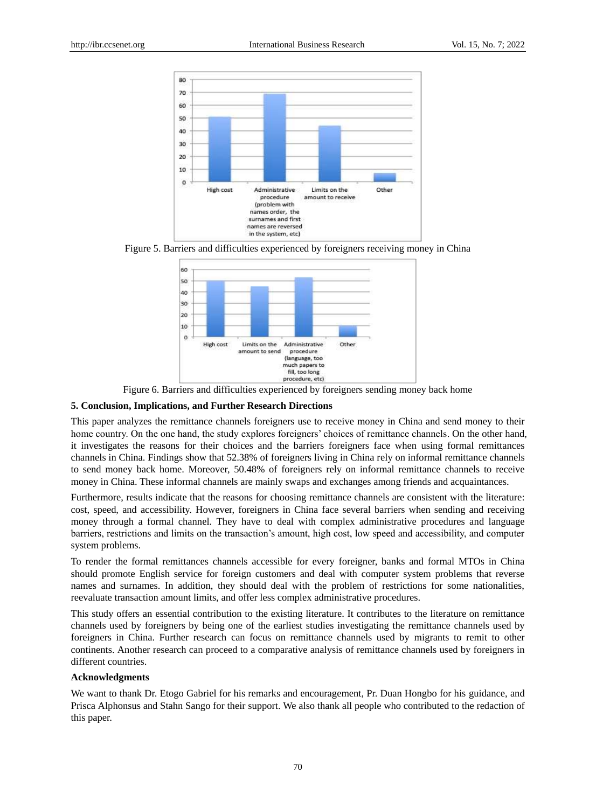

Figure 5. Barriers and difficulties experienced by foreigners receiving money in China



Figure 6. Barriers and difficulties experienced by foreigners sending money back home

# **5. Conclusion, Implications, and Further Research Directions**

This paper analyzes the remittance channels foreigners use to receive money in China and send money to their home country. On the one hand, the study explores foreigners' choices of remittance channels. On the other hand, it investigates the reasons for their choices and the barriers foreigners face when using formal remittances channels in China. Findings show that 52.38% of foreigners living in China rely on informal remittance channels to send money back home. Moreover, 50.48% of foreigners rely on informal remittance channels to receive money in China. These informal channels are mainly swaps and exchanges among friends and acquaintances.

Furthermore, results indicate that the reasons for choosing remittance channels are consistent with the literature: cost, speed, and accessibility. However, foreigners in China face several barriers when sending and receiving money through a formal channel. They have to deal with complex administrative procedures and language barriers, restrictions and limits on the transaction's amount, high cost, low speed and accessibility, and computer system problems.

To render the formal remittances channels accessible for every foreigner, banks and formal MTOs in China should promote English service for foreign customers and deal with computer system problems that reverse names and surnames. In addition, they should deal with the problem of restrictions for some nationalities, reevaluate transaction amount limits, and offer less complex administrative procedures.

This study offers an essential contribution to the existing literature. It contributes to the literature on remittance channels used by foreigners by being one of the earliest studies investigating the remittance channels used by foreigners in China. Further research can focus on remittance channels used by migrants to remit to other continents. Another research can proceed to a comparative analysis of remittance channels used by foreigners in different countries.

# **Acknowledgments**

We want to thank Dr. Etogo Gabriel for his remarks and encouragement, Pr. Duan Hongbo for his guidance, and Prisca Alphonsus and Stahn Sango for their support. We also thank all people who contributed to the redaction of this paper.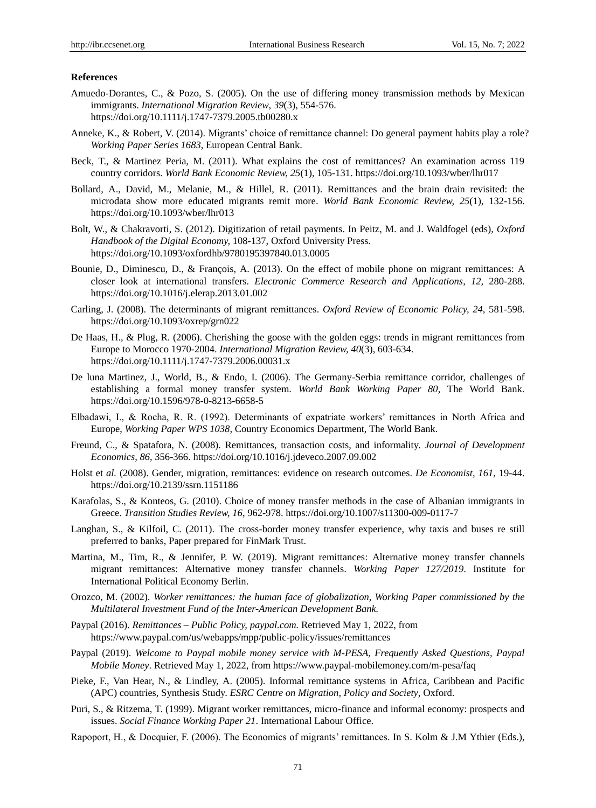## **References**

- Amuedo-Dorantes, C., & Pozo, S. (2005). On the use of differing money transmission methods by Mexican immigrants. *International Migration Review*, *39*(3), 554-576. https://doi.org/10.1111/j.1747-7379.2005.tb00280.x
- Anneke, K., & Robert, V. (2014). Migrants' choice of remittance channel: Do general payment habits play a role? *Working Paper Series 1683*, European Central Bank.
- Beck, T., & Martinez Peria, M. (2011). What explains the cost of remittances? An examination across 119 country corridors. *World Bank Economic Review, 25*(1), 105-131. https://doi.org/10.1093/wber/lhr017
- Bollard, A., David, M., Melanie, M., & Hillel, R. (2011). Remittances and the brain drain revisited: the microdata show more educated migrants remit more. *World Bank Economic Review, 25*(1), 132-156. https://doi.org/10.1093/wber/lhr013
- Bolt, W., & Chakravorti, S. (2012). Digitization of retail payments. In Peitz, M. and J. Waldfogel (eds), *Oxford Handbook of the Digital Economy,* 108-137, Oxford University Press. https://doi.org/10.1093/oxfordhb/9780195397840.013.0005
- Bounie, D., Diminescu, D., & François, A. (2013). On the effect of mobile phone on migrant remittances: A closer look at international transfers. *Electronic Commerce Research and Applications*, *12,* 280-288. https://doi.org/10.1016/j.elerap.2013.01.002
- Carling, J. (2008). The determinants of migrant remittances. *Oxford Review of Economic Policy, 24*, 581-598. https://doi.org/10.1093/oxrep/grn022
- De Haas, H., & Plug, R. (2006). Cherishing the goose with the golden eggs: trends in migrant remittances from Europe to Morocco 1970-2004. *International Migration Review, 40*(3), 603-634. https://doi.org/10.1111/j.1747-7379.2006.00031.x
- De luna Martinez, J., World, B., & Endo, I. (2006). The Germany-Serbia remittance corridor, challenges of establishing a formal money transfer system. *World Bank Working Paper 80*, The World Bank. https://doi.org/10.1596/978-0-8213-6658-5
- Elbadawi, I., & Rocha, R. R. (1992). Determinants of expatriate workers' remittances in North Africa and Europe, *Working Paper WPS 1038*, Country Economics Department, The World Bank.
- Freund, C., & Spatafora, N. (2008). Remittances, transaction costs, and informality. *Journal of Development Economics, 86*, 356-366. https://doi.org/10.1016/j.jdeveco.2007.09.002
- Holst et *al.* (2008). Gender, migration, remittances: evidence on research outcomes. *De Economist, 161*, 19-44. https://doi.org/10.2139/ssrn.1151186
- Karafolas, S., & Konteos, G. (2010). Choice of money transfer methods in the case of Albanian immigrants in Greece. *Transition Studies Review, 16*, 962-978. https://doi.org/10.1007/s11300-009-0117-7
- Langhan, S., & Kilfoil, C. (2011). The cross-border money transfer experience, why taxis and buses re still preferred to banks, Paper prepared for FinMark Trust.
- Martina, M., Tim, R., & Jennifer, P. W. (2019). Migrant remittances: Alternative money transfer channels migrant remittances: Alternative money transfer channels. *Working Paper 127/2019*. Institute for International Political Economy Berlin.
- Orozco, M. (2002). *Worker remittances: the human face of globalization, Working Paper commissioned by the Multilateral Investment Fund of the Inter-American Development Bank.*
- Paypal (2016). *Remittances – Public Policy, paypal.com.* Retrieved May 1, 2022, from https://www.paypal.com/us/webapps/mpp/public-policy/issues/remittances
- Paypal (2019). *Welcome to Paypal mobile money service with M-PESA, Frequently Asked Questions, Paypal Mobile Money*. Retrieved May 1, 2022, from https://www.paypal-mobilemoney.com/m-pesa/faq
- Pieke, F., Van Hear, N., & Lindley, A. (2005). Informal remittance systems in Africa, Caribbean and Pacific (APC) countries, Synthesis Study. *ESRC Centre on Migration, Policy and Society*, Oxford.
- Puri, S., & Ritzema, T. (1999). Migrant worker remittances, micro-finance and informal economy: prospects and issues. *Social Finance Working Paper 21*. International Labour Office.
- Rapoport, H., & Docquier, F. (2006). The Economics of migrants' remittances. In S. Kolm & J.M Ythier (Eds.),